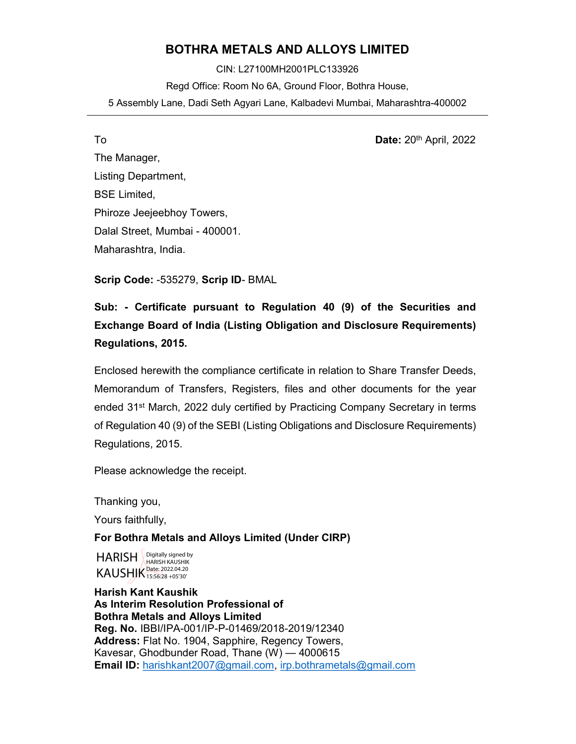#### BOTHRA METALS AND ALLOYS LIMITED

CIN: L27100MH2001PLC133926 Regd Office: Room No 6A, Ground Floor, Bothra House, 5 Assembly Lane, Dadi Seth Agyari Lane, Kalbadevi Mumbai, Maharashtra-400002

To **Date:** 20<sup>th</sup> April, 2022 The Manager, Listing Department, BSE Limited, Phiroze Jeejeebhoy Towers, Dalal Street, Mumbai - 400001. Maharashtra, India.

Scrip Code: -535279, Scrip ID- BMAL

### Sub: - Certificate pursuant to Regulation 40 (9) of the Securities and Exchange Board of India (Listing Obligation and Disclosure Requirements) Regulations, 2015.

Enclosed herewith the compliance certificate in relation to Share Transfer Deeds, Memorandum of Transfers, Registers, files and other documents for the year ended 31st March, 2022 duly certified by Practicing Company Secretary in terms of Regulation 40 (9) of the SEBI (Listing Obligations and Disclosure Requirements) Regulations, 2015.

Please acknowledge the receipt.

Thanking you,

Yours faithfully,

#### For Bothra Metals and Alloys Limited (Under CIRP)

HARISH KAUSHIK Date: 2022.04.20 Digitally signed by HARISH KAUSHIK

Harish Kant Kaushik As Interim Resolution Professional of Bothra Metals and Alloys Limited Reg. No. IBBI/IPA-001/IP-P-01469/2018-2019/12340 Address: Flat No. 1904, Sapphire, Regency Towers, Kavesar, Ghodbunder Road, Thane (W) — 4000615 **Email ID:** harishkant2007@gmail.com, irp.bothrametals@gmail.com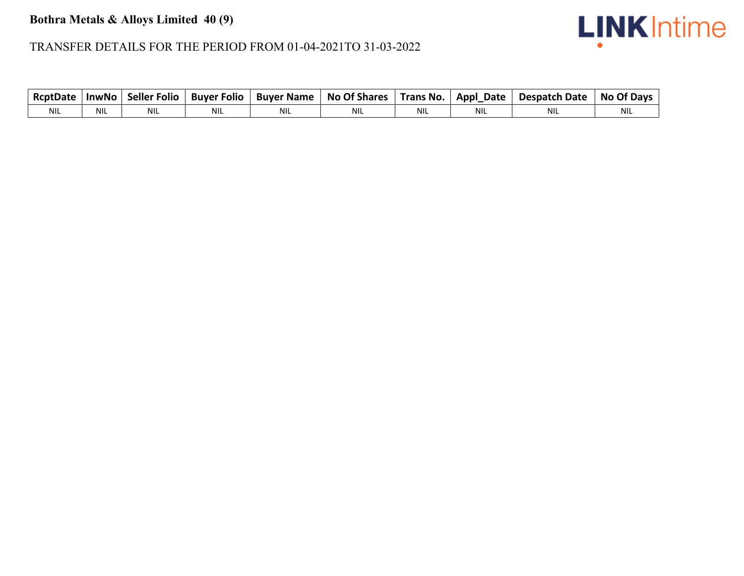## **Bothra Metals & Alloys Limited 40 (9)**

# **LINK** Intime

#### TRANSFER DETAILS FOR THE PERIOD FROM 01-04-2021TO 31-03-2022

| <b>RcptDate</b> | <b>InwNo</b> | <b>Seller Folio</b> | <b>Buver Folio</b> | <b>Buyer Name</b> | <b>No Of Shares</b> | Trans No.  | Appl_Date | <b>Despatch Date</b> | No Of Days |
|-----------------|--------------|---------------------|--------------------|-------------------|---------------------|------------|-----------|----------------------|------------|
| <b>NIL</b>      | <b>NIL</b>   | NIL                 | <b>NIL</b>         | <b>NIL</b>        | <b>NIL</b>          | <b>NIL</b> | NIL       | <b>NIL</b>           | <b>NIL</b> |